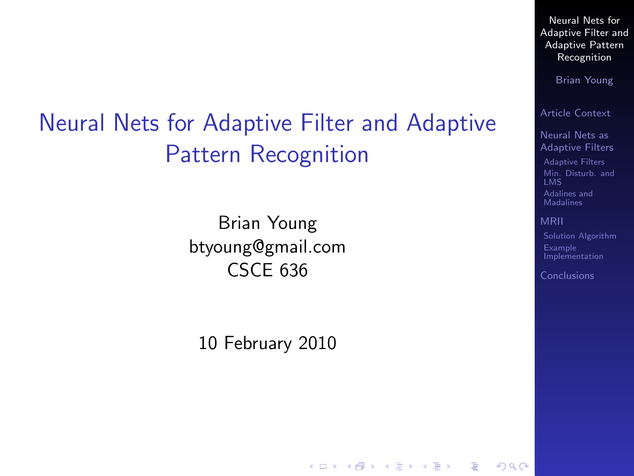# Neural Nets for Adaptive Filter and Adaptive Pattern Recognition

Brian Young btyoung@gmail.com CSCE 636

<span id="page-0-0"></span>10 February 2010

Neural Nets for [Adaptive Filter and](#page-22-0) Adaptive Pattern **Recognition** 

Brian Young

[Article Context](#page-2-0)

Neural Nets as [Adaptive Filters](#page-3-0)

[Adaptive Filters](#page-3-0) [Min. Disturb. and](#page-6-0) [Adalines and](#page-10-0) Madalines

[MRII](#page-16-0)

 $209$ 

[Solution Algorithm](#page-17-0) Example [Implementation](#page-19-0)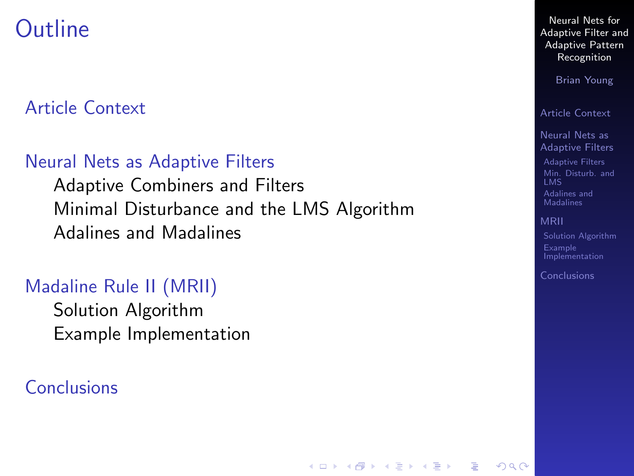### **Outline**

#### [Article Context](#page-2-0)

#### [Neural Nets as Adaptive Filters](#page-3-0)

[Adaptive Combiners and Filters](#page-3-0) [Minimal Disturbance and the LMS Algorithm](#page-6-0) [Adalines and Madalines](#page-10-0)

#### [Madaline Rule II \(MRII\)](#page-16-0)

[Solution Algorithm](#page-17-0) [Example Implementation](#page-19-0)

#### [Conclusions](#page-22-0)

Neural Nets for [Adaptive Filter and](#page-0-0) Adaptive Pattern Recognition

Brian Young

[Article Context](#page-2-0)

Neural Nets as [Adaptive Filters](#page-3-0) [Adaptive Filters](#page-3-0) [Min. Disturb. and](#page-6-0)

[Adalines and](#page-10-0) **Madalines** 

#### [MRII](#page-16-0)

**KORKA SERKER ORA** 

[Solution Algorithm](#page-17-0) Example [Implementation](#page-19-0)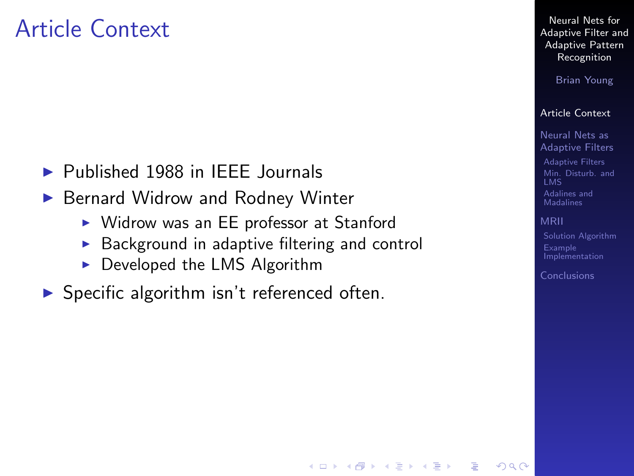### Article Context

- $\triangleright$  Published 1988 in IEEE Journals
- ▶ Bernard Widrow and Rodney Winter
	- $\triangleright$  Widrow was an EE professor at Stanford
	- $\triangleright$  Background in adaptive filtering and control
	- $\triangleright$  Developed the LMS Algorithm
- <span id="page-2-0"></span> $\triangleright$  Specific algorithm isn't referenced often.

Neural Nets for [Adaptive Filter and](#page-0-0) Adaptive Pattern Recognition

Brian Young

#### [Article Context](#page-2-0)

Neural Nets as [Adaptive Filters](#page-3-0) [Adaptive Filters](#page-3-0) [Min. Disturb. and](#page-6-0) [Adalines and](#page-10-0) Madalines

#### [MRII](#page-16-0)

**KORKA SERKER ORA** 

[Solution Algorithm](#page-17-0) Example [Implementation](#page-19-0)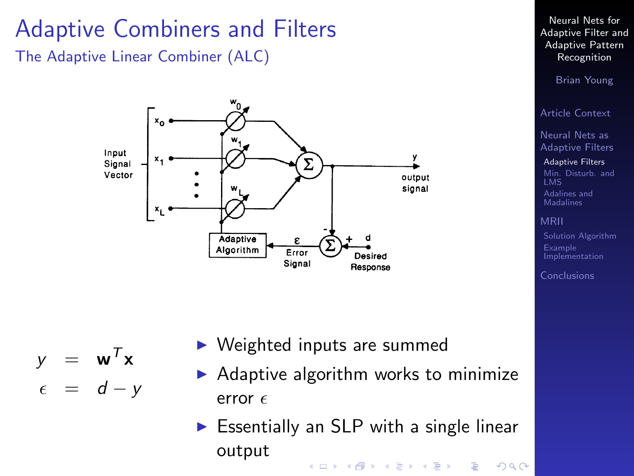# Adaptive Combiners and Filters

The Adaptive Linear Combiner (ALC)



- $y = \mathbf{w}^T \mathbf{x}$
- <span id="page-3-0"></span> $\epsilon = d - y$
- $\triangleright$  Weighted inputs are summed
- $\triangleright$  Adaptive algorithm works to minimize error  $\epsilon$
- $\triangleright$  Essentially an SLP with a single linear outputKE K K E K K E K E L A K D K K K K K K K K K

Neural Nets for [Adaptive Filter and](#page-0-0) Adaptive Pattern Recognition

Brian Young

[Article Context](#page-2-0)

Neural Nets as [Adaptive Filters](#page-3-0)

[Adaptive Filters](#page-3-0) [Min. Disturb. and](#page-6-0) [Adalines and](#page-10-0) **Madalines** 

[MRII](#page-16-0)

Example [Implementation](#page-19-0)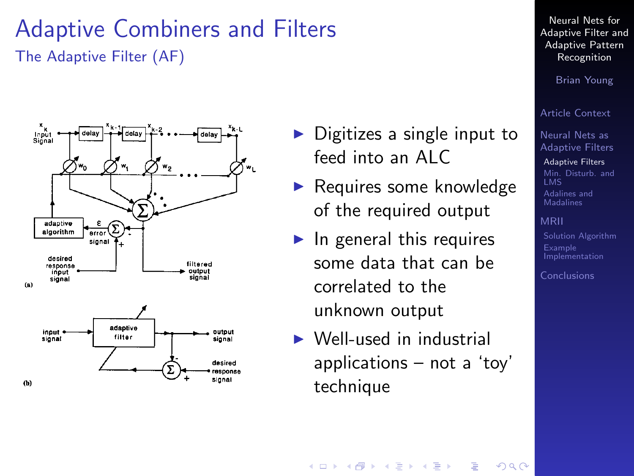#### Adaptive Combiners and Filters The Adaptive Filter (AF)



- $\triangleright$  Digitizes a single input to feed into an ALC
- $\blacktriangleright$  Requires some knowledge of the required output
- $\blacktriangleright$  In general this requires some data that can be correlated to the unknown output
- $\triangleright$  Well-used in industrial applications – not a 'toy' technique

Neural Nets for [Adaptive Filter and](#page-0-0) Adaptive Pattern Recognition

Brian Young

[Article Context](#page-2-0)

Neural Nets as [Adaptive Filters](#page-3-0)

[Adaptive Filters](#page-3-0) [Min. Disturb. and](#page-6-0) [Adalines and](#page-10-0) **Madalines** 

[MRII](#page-16-0) [Solution Algorithm](#page-17-0) Example [Implementation](#page-19-0)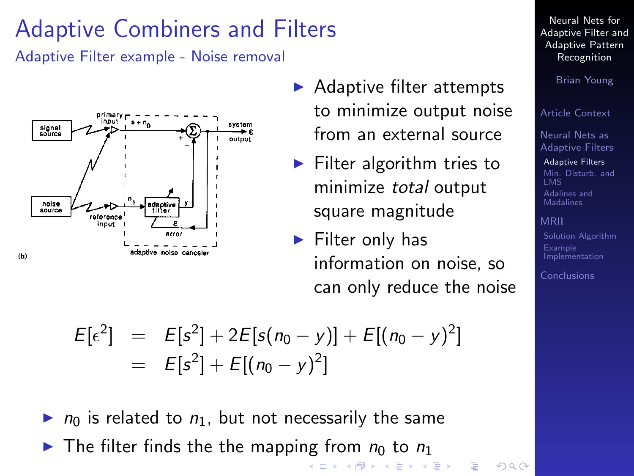# Adaptive Combiners and Filters

Adaptive Filter example - Noise removal



- $\blacktriangleright$  Adaptive filter attempts to minimize output noise from an external source
- $\blacktriangleright$  Filter algorithm tries to minimize total output square magnitude
- $\blacktriangleright$  Filter only has information on noise, so can only reduce the noise

(ロトメ団) (メミ) (モト)

 $\equiv$ 

 $000$ 

$$
E[\epsilon^2] = E[s^2] + 2E[s(n_0 - y)] + E[(n_0 - y)^2]
$$
  
= 
$$
E[s^2] + E[(n_0 - y)^2]
$$

- $\triangleright$   $n_0$  is related to  $n_1$ , but not necessarily the same
- In The filter finds the the mapping from  $n_0$  to  $n_1$

Neural Nets for [Adaptive Filter and](#page-0-0) Adaptive Pattern Recognition

Brian Young

[Article Context](#page-2-0)

Neural Nets as [Adaptive Filters](#page-3-0)

[Adaptive Filters](#page-3-0) [Min. Disturb. and](#page-6-0) [Adalines and](#page-10-0) Madalines

#### [MRII](#page-16-0)

Example [Implementation](#page-19-0)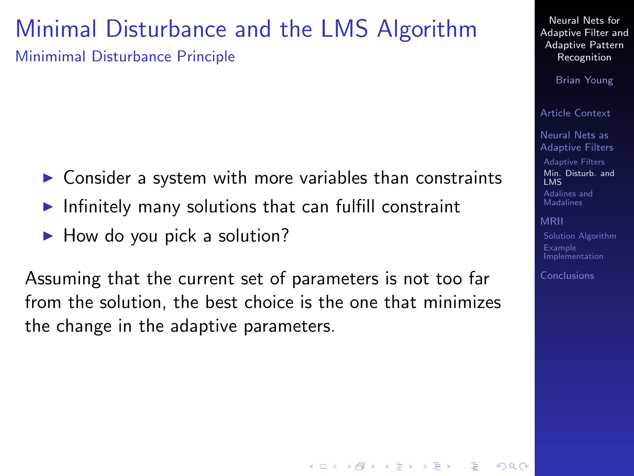#### Minimal Disturbance and the LMS Algorithm Minimimal Disturbance Principle

- $\triangleright$  Consider a system with more variables than constraints
- Infinitely many solutions that can fulfill constraint
- $\blacktriangleright$  How do you pick a solution?

<span id="page-6-0"></span>Assuming that the current set of parameters is not too far from the solution, the best choice is the one that minimizes the change in the adaptive parameters.

Neural Nets for [Adaptive Filter and](#page-0-0) Adaptive Pattern Recognition

Brian Young

[Article Context](#page-2-0)

Neural Nets as [Adaptive Filters](#page-3-0)

[Adaptive Filters](#page-3-0) [Min. Disturb. and](#page-6-0) LMS [Adalines and](#page-10-0)

Madalines

[MRII](#page-16-0)

[Solution Algorithm](#page-17-0) Example [Implementation](#page-19-0)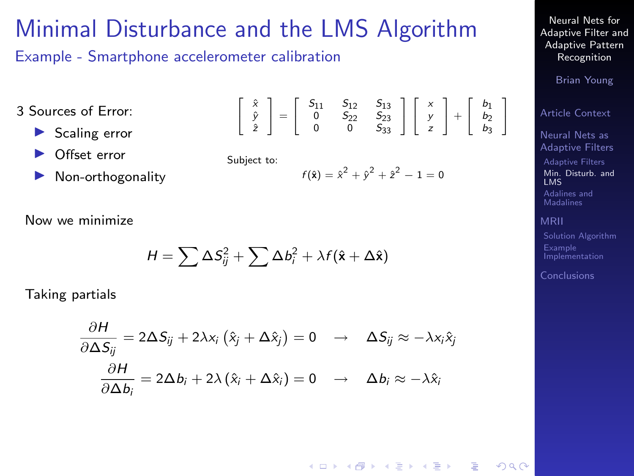#### Minimal Disturbance and the LMS Algorithm

 $\sqrt{2}$ 4 xˆ yˆ zˆ  $\Big] = \Big[$ 4

Example - Smartphone accelerometer calibration

3 Sources of Error:

- $\blacktriangleright$  Scaling error
- Offset error
- Non-orthogonality

Subject to:

$$
f(\hat{\mathbf{x}}) = \hat{x}^2 + \hat{y}^2 + \hat{z}^2 - 1 = 0
$$

1  $\mathbf{1}$  $\Gamma$ 4 x y z  $+$ 4  $b_1$ <br> $b_2$ <br> $b_3$ 1 5

 $S_{11}$   $S_{12}$   $S_{13}$ <br>  $0$   $S_{22}$   $S_{23}$ <br>  $0$   $0$   $S_{33}$ 

Now we minimize

$$
H = \sum \Delta S_{ij}^2 + \sum \Delta b_i^2 + \lambda f(\hat{\mathbf{x}} + \Delta \hat{\mathbf{x}})
$$

Taking partials

$$
\frac{\partial H}{\partial \Delta S_{ij}} = 2\Delta S_{ij} + 2\lambda x_i (\hat{x}_j + \Delta \hat{x}_j) = 0 \rightarrow \Delta S_{ij} \approx -\lambda x_i \hat{x}_j
$$

$$
\frac{\partial H}{\partial \Delta b_i} = 2\Delta b_i + 2\lambda (\hat{x}_i + \Delta \hat{x}_i) = 0 \rightarrow \Delta b_i \approx -\lambda \hat{x}_i
$$

Neural Nets for **[Adaptive Filter and](#page-0-0)** Adaptive Pattern Recognition

Brian Young

[Article Context](#page-2-0)

Neural Nets as [Adaptive Filters](#page-3-0) [Adaptive Filters](#page-3-0)

[Min. Disturb. and](#page-6-0) LMS [Adalines and](#page-10-0) **Madalines** 

[MRII](#page-16-0)

[Solution Algorithm](#page-17-0) Example [Implementation](#page-19-0)

[Conclusions](#page-22-0)

 $000$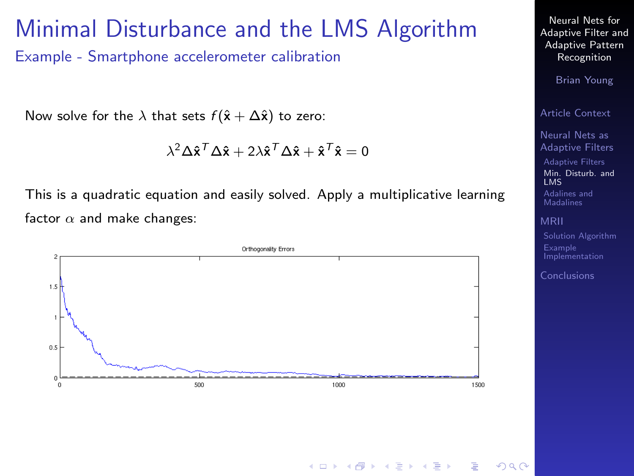#### Minimal Disturbance and the LMS Algorithm

Example - Smartphone accelerometer calibration

Now solve for the  $\lambda$  that sets  $f(\hat{x} + \Delta \hat{x})$  to zero:

$$
\lambda^2 \Delta \mathbf{\hat{x}}^T \Delta \mathbf{\hat{x}} + 2 \lambda \mathbf{\hat{x}}^T \Delta \mathbf{\hat{x}} + \mathbf{\hat{x}}^T \mathbf{\hat{x}} = 0
$$

This is a quadratic equation and easily solved. Apply a multiplicative learning factor  $\alpha$  and make changes:



Neural Nets for [Adaptive Filter and](#page-0-0) Adaptive Pattern Recognition

Brian Young

[Article Context](#page-2-0)

Neural Nets as [Adaptive Filters](#page-3-0) [Adaptive Filters](#page-3-0) [Min. Disturb. and](#page-6-0) LMS

[Adalines and](#page-10-0) **Madalines** 

[MRII](#page-16-0)

[Solution Algorithm](#page-17-0) Example [Implementation](#page-19-0)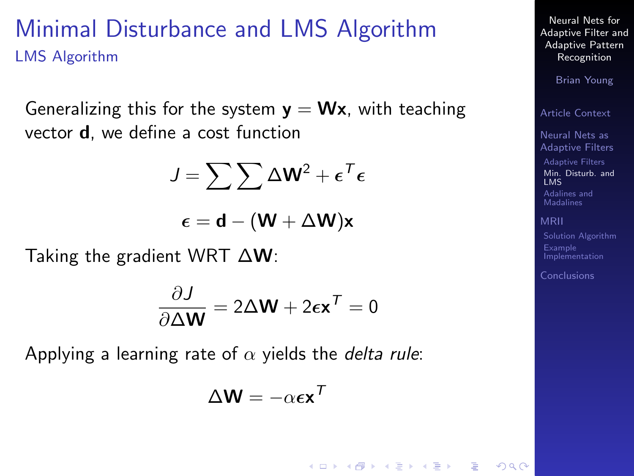#### Minimal Disturbance and LMS Algorithm LMS Algorithm

Generalizing this for the system  $y = Wx$ , with teaching vector d, we define a cost function

$$
J = \sum \sum \Delta W^2 + \epsilon^T \epsilon
$$

$$
\epsilon = \textbf{d} - (\textbf{W} + \Delta \textbf{W}) \textbf{x}
$$

Taking the gradient WRT  $\Delta W$ :

$$
\frac{\partial J}{\partial \Delta \mathbf{W}} = 2\Delta \mathbf{W} + 2\epsilon \mathbf{x}^T = 0
$$

Applying a learning rate of  $\alpha$  yields the *delta rule*:

$$
\Delta \mathbf{W} = -\alpha \boldsymbol{\epsilon} \mathbf{x}^{\mathsf{T}}
$$

 $\mathbf{E} = \mathbf{A} \oplus \mathbf{B} + \mathbf{A} \oplus \mathbf{B} + \mathbf{A} \oplus \mathbf{B} + \mathbf{A} \oplus \mathbf{A}$ 

Neural Nets for [Adaptive Filter and](#page-0-0) Adaptive Pattern Recognition

Brian Young

[Article Context](#page-2-0)

Neural Nets as [Adaptive Filters](#page-3-0)

[Adaptive Filters](#page-3-0) [Min. Disturb. and](#page-6-0) LMS [Adalines and](#page-10-0) Madalines

[MRII](#page-16-0)

 $209$ 

Example [Implementation](#page-19-0)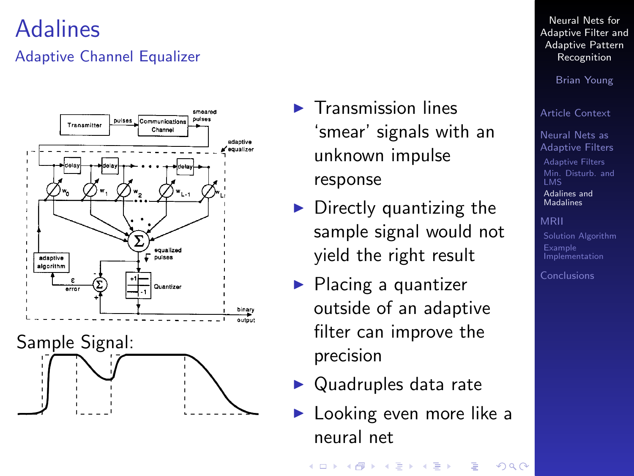### Adalines

#### Adaptive Channel Equalizer

<span id="page-10-0"></span>

- $\blacktriangleright$  Transmission lines 'smear' signals with an unknown impulse response
- $\blacktriangleright$  Directly quantizing the sample signal would not yield the right result
- $\blacktriangleright$  Placing a quantizer outside of an adaptive filter can improve the precision
- $\blacktriangleright$  Quadruples data rate
- $\blacktriangleright$  Looking even more like a neural net

Neural Nets for [Adaptive Filter and](#page-0-0) Adaptive Pattern Recognition

Brian Young

[Article Context](#page-2-0)

Neural Nets as [Adaptive Filters](#page-3-0)

[Adaptive Filters](#page-3-0) [Min. Disturb. and](#page-6-0) [Adalines and](#page-10-0) Madalines

[Solution Algorithm](#page-17-0) Example [Implementation](#page-19-0)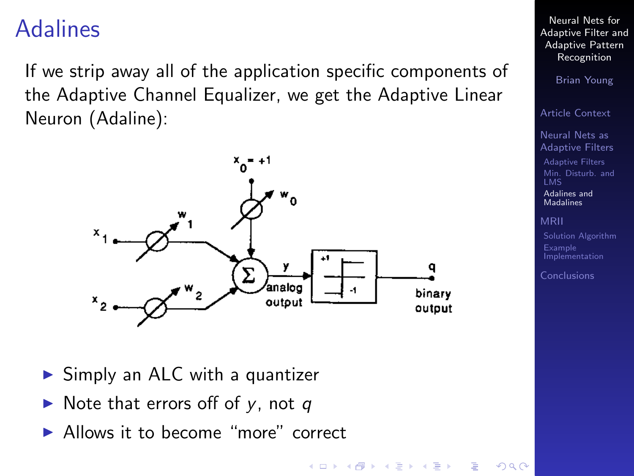### Adalines

If we strip away all of the application specific components of the Adaptive Channel Equalizer, we get the Adaptive Linear Neuron (Adaline):



 $\triangleright$  Simply an ALC with a quantizer

- $\triangleright$  Note that errors off of y, not q
- Allows it to become "more" correct

Neural Nets for [Adaptive Filter and](#page-0-0) Adaptive Pattern Recognition

Brian Young

[Article Context](#page-2-0)

Neural Nets as [Adaptive Filters](#page-3-0)

[Adaptive Filters](#page-3-0) [Min. Disturb. and](#page-6-0) [Adalines and](#page-10-0) Madalines

[MRII](#page-16-0)

[Solution Algorithm](#page-17-0) Example [Implementation](#page-19-0)

[Conclusions](#page-22-0)

 $\left\{ \begin{array}{ccc} 1 & 0 & 0 \\ 0 & 1 & 0 \end{array} \right.$  $\equiv$  $2990$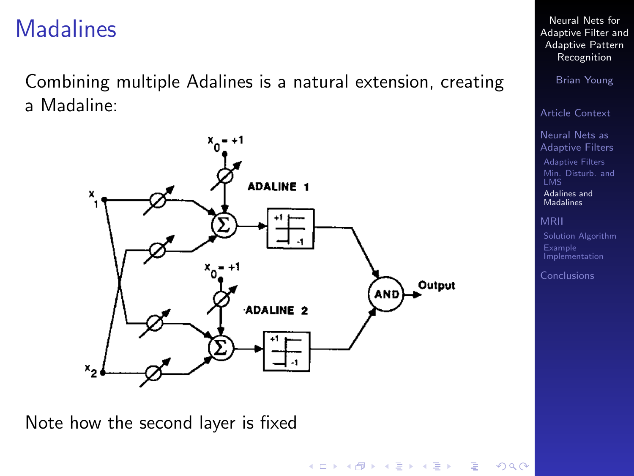### **Madalines**

Combining multiple Adalines is a natural extension, creating a Madaline:



Note how the second layer is fixed

Neural Nets for [Adaptive Filter and](#page-0-0) Adaptive Pattern Recognition

Brian Young

[Article Context](#page-2-0)

Neural Nets as [Adaptive Filters](#page-3-0)

[Adaptive Filters](#page-3-0) [Min. Disturb. and](#page-6-0) [Adalines and](#page-10-0) **Madalines** 

[MRII](#page-16-0)

Example [Implementation](#page-19-0)

[Conclusions](#page-22-0)

イロメ 不倒 メイミメ 不思い  $\Rightarrow$  $2990$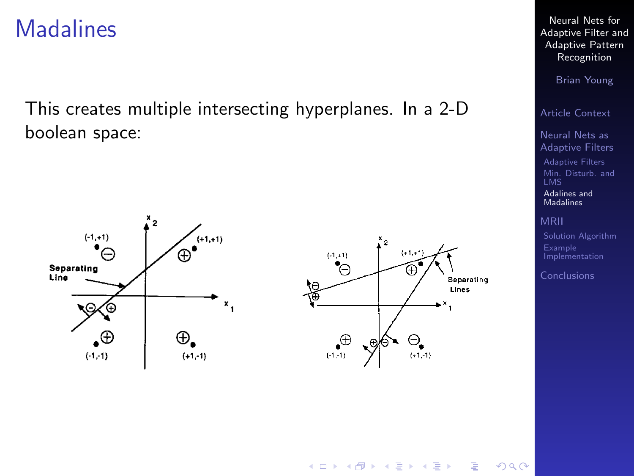#### **Madalines**

This creates multiple intersecting hyperplanes. In a 2-D boolean space:



Neural Nets for [Adaptive Filter and](#page-0-0) Adaptive Pattern Recognition

Brian Young

[Article Context](#page-2-0)

Neural Nets as [Adaptive Filters](#page-3-0)

[Adaptive Filters](#page-3-0) [Min. Disturb. and](#page-6-0) LMS [Adalines and](#page-10-0)

**Madalines** 

[MRII](#page-16-0)

[Implementation](#page-19-0)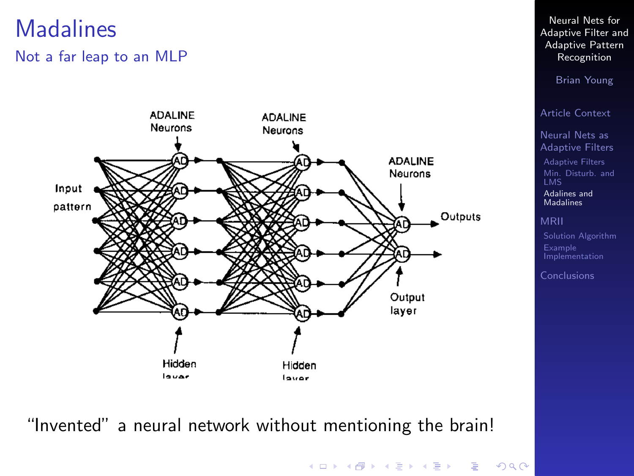### **Madalines**

#### Not a far leap to an MLP



"Invented" a neural network without mentioning the brain!

Neural Nets for [Adaptive Filter and](#page-0-0) Adaptive Pattern Recognition

Brian Young

[Article Context](#page-2-0)

Neural Nets as [Adaptive Filters](#page-3-0)

[Adaptive Filters](#page-3-0) [Min. Disturb. and](#page-6-0) [Adalines and](#page-10-0) **Madalines** 

[Implementation](#page-19-0)

[Conclusions](#page-22-0)

イロト 不優 トイ君 トイ君 トー 君一  $2990$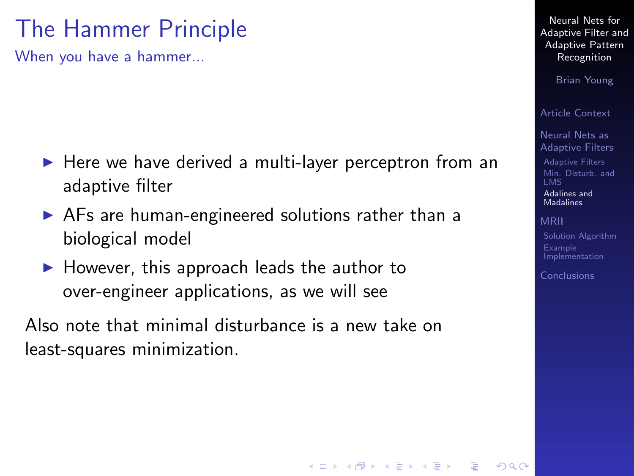# The Hammer Principle

When you have a hammer...

- $\blacktriangleright$  Here we have derived a multi-layer perceptron from an adaptive filter
- $\triangleright$  AFs are human-engineered solutions rather than a biological model
- $\blacktriangleright$  However, this approach leads the author to over-engineer applications, as we will see

Also note that minimal disturbance is a new take on least-squares minimization.

Neural Nets for [Adaptive Filter and](#page-0-0) Adaptive Pattern Recognition

Brian Young

[Article Context](#page-2-0)

Neural Nets as [Adaptive Filters](#page-3-0)

[Adaptive Filters](#page-3-0) [Min. Disturb. and](#page-6-0) [Adalines and](#page-10-0) Madalines

[MRII](#page-16-0)

[Solution Algorithm](#page-17-0) Example [Implementation](#page-19-0)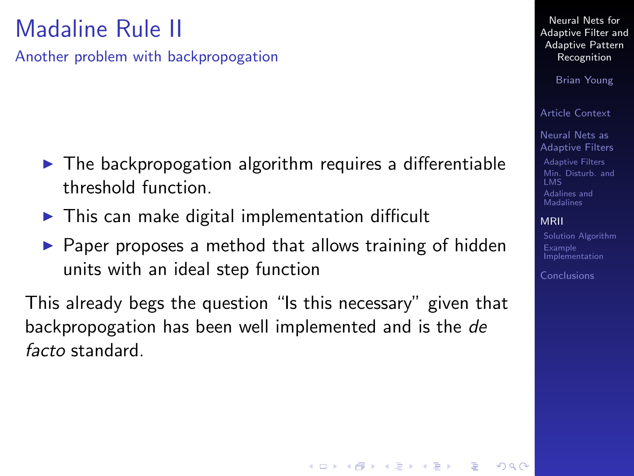# Madaline Rule II

Another problem with backpropogation

- $\blacktriangleright$  The backpropogation algorithm requires a differentiable threshold function.
- $\triangleright$  This can make digital implementation difficult
- $\triangleright$  Paper proposes a method that allows training of hidden units with an ideal step function

<span id="page-16-0"></span>This already begs the question "Is this necessary" given that backpropogation has been well implemented and is the de facto standard.

Neural Nets for [Adaptive Filter and](#page-0-0) Adaptive Pattern Recognition

Brian Young

[Article Context](#page-2-0)

Neural Nets as [Adaptive Filters](#page-3-0) [Adaptive Filters](#page-3-0) [Min. Disturb. and](#page-6-0) [Adalines and](#page-10-0) Madalines

#### [MRII](#page-16-0)

[Solution Algorithm](#page-17-0) Example [Implementation](#page-19-0)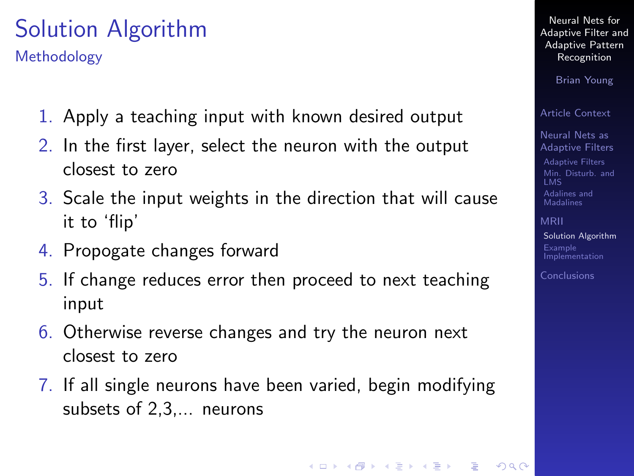# Solution Algorithm

Methodology

- 1. Apply a teaching input with known desired output
- 2. In the first layer, select the neuron with the output closest to zero
- 3. Scale the input weights in the direction that will cause it to 'flip'
- 4. Propogate changes forward
- 5. If change reduces error then proceed to next teaching input
- 6. Otherwise reverse changes and try the neuron next closest to zero
- <span id="page-17-0"></span>7. If all single neurons have been varied, begin modifying subsets of 2,3,... neurons

Neural Nets for [Adaptive Filter and](#page-0-0) Adaptive Pattern Recognition

Brian Young

[Article Context](#page-2-0)

Neural Nets as [Adaptive Filters](#page-3-0)

[Adaptive Filters](#page-3-0) [Min. Disturb. and](#page-6-0) LMS [Adalines and](#page-10-0) Madalines

[MRII](#page-16-0) [Solution Algorithm](#page-17-0) Example [Implementation](#page-19-0)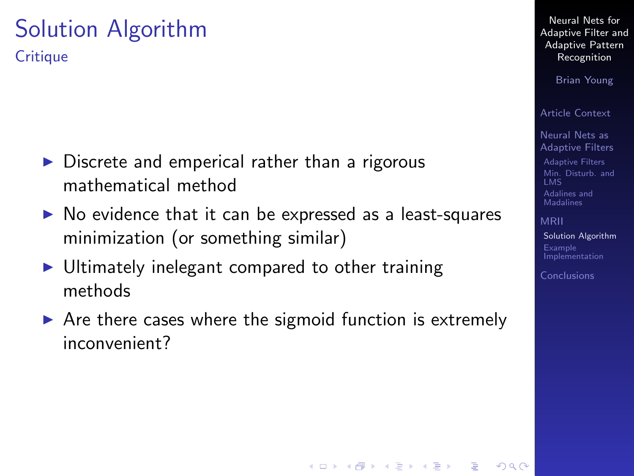#### Solution Algorithm **Critique**

- $\triangleright$  Discrete and emperical rather than a rigorous mathematical method
- $\triangleright$  No evidence that it can be expressed as a least-squares minimization (or something similar)
- $\triangleright$  Ultimately inelegant compared to other training methods
- $\triangleright$  Are there cases where the sigmoid function is extremely inconvenient?

Neural Nets for [Adaptive Filter and](#page-0-0) Adaptive Pattern Recognition

Brian Young

[Article Context](#page-2-0)

Neural Nets as [Adaptive Filters](#page-3-0) [Adaptive Filters](#page-3-0) [Min. Disturb. and](#page-6-0) [Adalines and](#page-10-0) Madalines

[MRII](#page-16-0) [Solution Algorithm](#page-17-0) Example [Implementation](#page-19-0)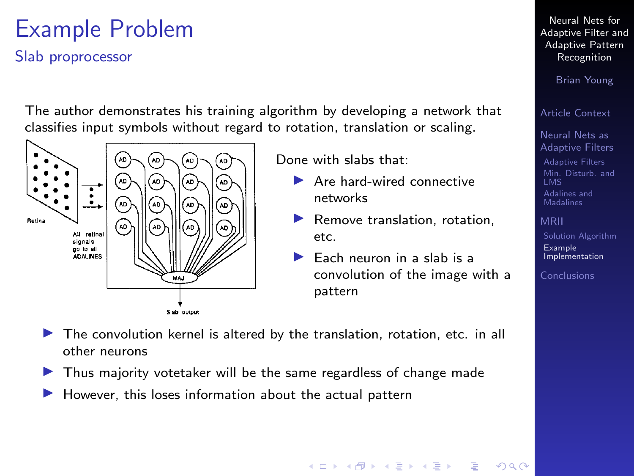# Example Problem

Slab proprocessor

The author demonstrates his training algorithm by developing a network that classifies input symbols without regard to rotation, translation or scaling.



Done with slabs that:

- $\blacktriangleright$  Are hard-wired connective networks
- $\blacktriangleright$  Remove translation, rotation, etc.
- $\blacktriangleright$  Each neuron in a slab is a convolution of the image with a pattern
- $\triangleright$  The convolution kernel is altered by the translation, rotation, etc. in all other neurons
- $\blacktriangleright$  Thus majority votetaker will be the same regardless of change made
- <span id="page-19-0"></span>However, this loses information about the actual pattern

Neural Nets for [Adaptive Filter and](#page-0-0) Adaptive Pattern Recognition

Brian Young

[Article Context](#page-2-0)

Neural Nets as [Adaptive Filters](#page-3-0) [Adaptive Filters](#page-3-0) [Min. Disturb. and](#page-6-0) [Adalines and](#page-10-0) **Madalines** 

[Solution Algorithm](#page-17-0) Example [Implementation](#page-19-0)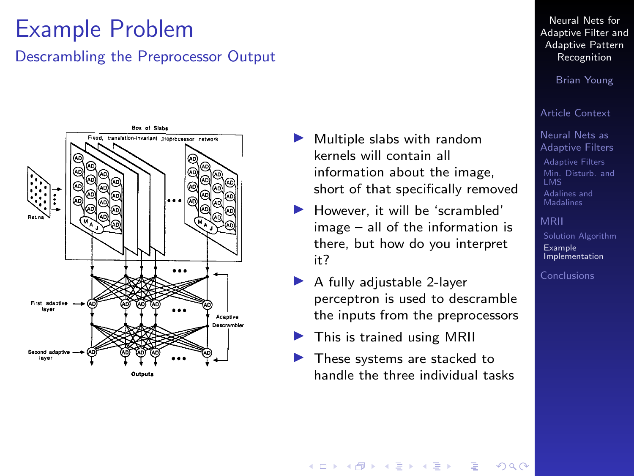## Example Problem

#### Descrambling the Preprocessor Output



- $\blacktriangleright$  Multiple slabs with random kernels will contain all information about the image, short of that specifically removed
- $\blacktriangleright$  However, it will be 'scrambled' image – all of the information is there, but how do you interpret it?
- A fully adjustable 2-layer perceptron is used to descramble the inputs from the preprocessors
- This is trained using MRII
- These systems are stacked to handle the three individual tasks

Neural Nets for [Adaptive Filter and](#page-0-0) Adaptive Pattern Recognition

Brian Young

#### [Article Context](#page-2-0)

Neural Nets as [Adaptive Filters](#page-3-0) [Adaptive Filters](#page-3-0) [Min. Disturb. and](#page-6-0) [Adalines and](#page-10-0) **Madalines** 

[Solution Algorithm](#page-17-0) Example [Implementation](#page-19-0)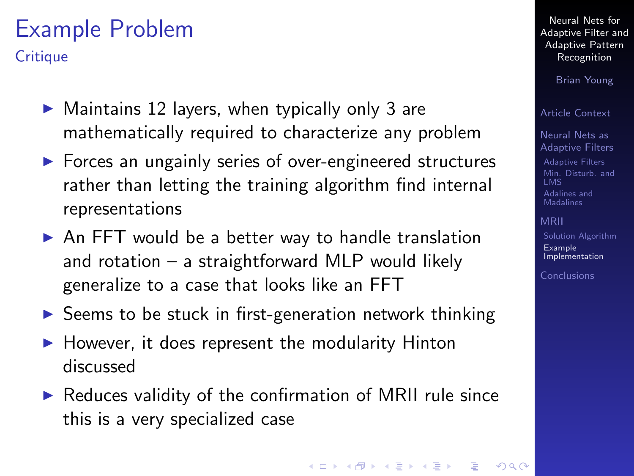# Example Problem

**Critique** 

- $\triangleright$  Maintains 12 layers, when typically only 3 are mathematically required to characterize any problem
- $\triangleright$  Forces an ungainly series of over-engineered structures rather than letting the training algorithm find internal representations
- $\triangleright$  An FFT would be a better way to handle translation and rotation – a straightforward MLP would likely generalize to a case that looks like an FFT
- $\triangleright$  Seems to be stuck in first-generation network thinking
- $\blacktriangleright$  However, it does represent the modularity Hinton discussed
- $\triangleright$  Reduces validity of the confirmation of MRII rule since this is a very specialized case

Neural Nets for [Adaptive Filter and](#page-0-0) Adaptive Pattern Recognition

Brian Young

[Article Context](#page-2-0)

Neural Nets as [Adaptive Filters](#page-3-0) [Adaptive Filters](#page-3-0) [Min. Disturb. and](#page-6-0) [Adalines and](#page-10-0) Madalines

[MRII](#page-16-0)

[Solution Algorithm](#page-17-0) Example [Implementation](#page-19-0)